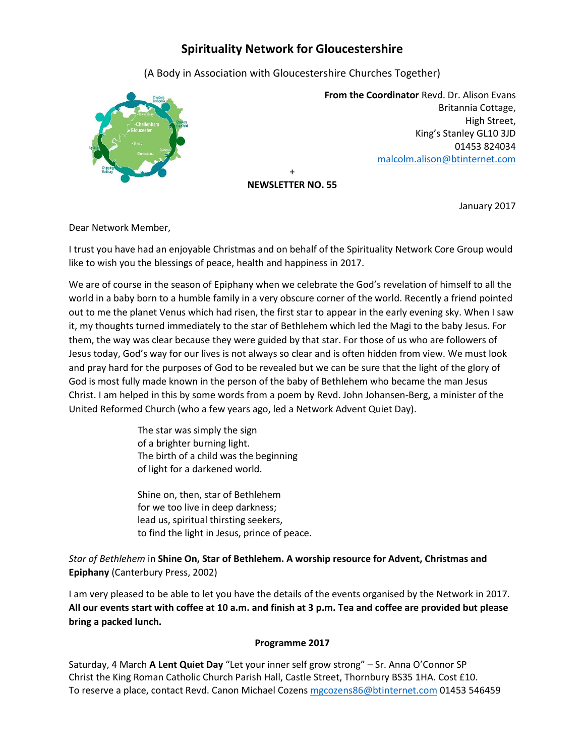## **Spirituality Network for Gloucestershire**

(A Body in Association with Gloucestershire Churches Together)



 **From the Coordinator** Revd. Dr. Alison Evans Britannia Cottage, High Street, King's Stanley GL10 3JD 01453 824034 [malcolm.alison@btinternet.com](mailto:malcolm.alison@btinternet.com)

+ **NEWSLETTER NO. 55**

January 2017

Dear Network Member,

I trust you have had an enjoyable Christmas and on behalf of the Spirituality Network Core Group would like to wish you the blessings of peace, health and happiness in 2017.

We are of course in the season of Epiphany when we celebrate the God's revelation of himself to all the world in a baby born to a humble family in a very obscure corner of the world. Recently a friend pointed out to me the planet Venus which had risen, the first star to appear in the early evening sky. When I saw it, my thoughts turned immediately to the star of Bethlehem which led the Magi to the baby Jesus. For them, the way was clear because they were guided by that star. For those of us who are followers of Jesus today, God's way for our lives is not always so clear and is often hidden from view. We must look and pray hard for the purposes of God to be revealed but we can be sure that the light of the glory of God is most fully made known in the person of the baby of Bethlehem who became the man Jesus Christ. I am helped in this by some words from a poem by Revd. John Johansen-Berg, a minister of the United Reformed Church (who a few years ago, led a Network Advent Quiet Day).

> The star was simply the sign of a brighter burning light. The birth of a child was the beginning of light for a darkened world.

Shine on, then, star of Bethlehem for we too live in deep darkness; lead us, spiritual thirsting seekers, to find the light in Jesus, prince of peace.

*Star of Bethlehem* in **Shine On, Star of Bethlehem. A worship resource for Advent, Christmas and Epiphany** (Canterbury Press, 2002)

I am very pleased to be able to let you have the details of the events organised by the Network in 2017. **All our events start with coffee at 10 a.m. and finish at 3 p.m. Tea and coffee are provided but please bring a packed lunch.**

## **Programme 2017**

Saturday, 4 March **A Lent Quiet Day** "Let your inner self grow strong" – Sr. Anna O'Connor SP Christ the King Roman Catholic Church Parish Hall, Castle Street, Thornbury BS35 1HA. Cost £10. To reserve a place, contact Revd. Canon Michael Cozens [mgcozens86@btinternet.com](mailto:mgcozens86@btinternet.com) 01453 546459